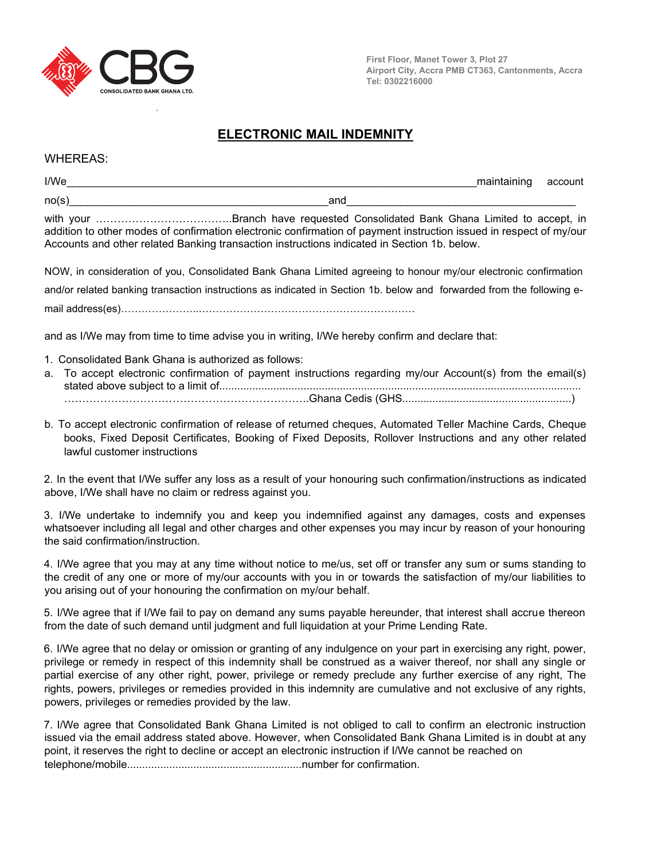

**∙**

**First Floor, Manet Tower 3, Plot 27 Airport City, Accra PMB CT363, Cantonments, Accra Tel: 0302216000**

## **ELECTRONIC MAIL INDEMNITY**

WHEREAS:

| I/We  |                                                                                                                                                                                                                   | maintaining account |  |
|-------|-------------------------------------------------------------------------------------------------------------------------------------------------------------------------------------------------------------------|---------------------|--|
| no(s) | and                                                                                                                                                                                                               |                     |  |
|       | addition to other modes of confirmation electronic confirmation of payment instruction issued in respect of my/our<br>Accounts and other related Banking transaction instructions indicated in Section 1b. below. |                     |  |

NOW, in consideration of you, Consolidated Bank Ghana Limited agreeing to honour my/our electronic confirmation and/or related banking transaction instructions as indicated in Section 1b. below and forwarded from the following email address(es)…………………..………………………………………………………

and as I/We may from time to time advise you in writing, I/We hereby confirm and declare that:

- 1. Consolidated Bank Ghana is authorized as follows:
- a. To accept electronic confirmation of payment instructions regarding my/our Account(s) from the email(s) stated above subject to a limit of........................................................................................................................ …………………………………………………………..Ghana Cedis (GHS........................................................)
- b. To accept electronic confirmation of release of returned cheques, Automated Teller Machine Cards, Cheque books, Fixed Deposit Certificates, Booking of Fixed Deposits, Rollover Instructions and any other related lawful customer instructions

2. In the event that I/We suffer any loss as a result of your honouring such confirmation/instructions as indicated above, I/We shall have no claim or redress against you.

3. I/We undertake to indemnify you and keep you indemnified against any damages, costs and expenses whatsoever including all legal and other charges and other expenses you may incur by reason of your honouring the said confirmation/instruction.

4. I/We agree that you may at any time without notice to me/us, set off or transfer any sum or sums standing to the credit of any one or more of my/our accounts with you in or towards the satisfaction of my/our liabilities to you arising out of your honouring the confirmation on my/our behalf.

5. I/We agree that if I/We fail to pay on demand any sums payable hereunder, that interest shall accrue thereon from the date of such demand until judgment and full liquidation at your Prime Lending Rate.

6. I/We agree that no delay or omission or granting of any indulgence on your part in exercising any right, power, privilege or remedy in respect of this indemnity shall be construed as a waiver thereof, nor shall any single or partial exercise of any other right, power, privilege or remedy preclude any further exercise of any right, The rights, powers, privileges or remedies provided in this indemnity are cumulative and not exclusive of any rights, powers, privileges or remedies provided by the law.

7. I/We agree that Consolidated Bank Ghana Limited is not obliged to call to confirm an electronic instruction issued via the email address stated above. However, when Consolidated Bank Ghana Limited is in doubt at any point, it reserves the right to decline or accept an electronic instruction if I/We cannot be reached on telephone/mobile..........................................................number for confirmation.